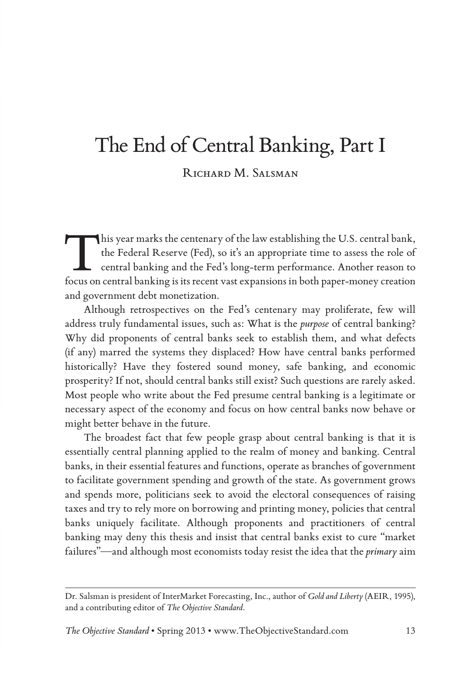## The End of Central Banking, Part I

RICHARD M. SALSMAN

This year marks the centenary of the law establishing the U.S. central bank, the Federal Reserve (Fed), so it's an appropriate time to assess the role of central banking and the Fed's long-term performance. Another reason to focus on central banking is its recent vast expansions in both paper-money creation and government debt monetization.

Although retrospectives on the Fed's centenary may proliferate, few will address truly fundamental issues, such as: What is the *purpose* of central banking? Why did proponents of central banks seek to establish them, and what defects (if any) marred the systems they displaced? How have central banks performed historically? Have they fostered sound money, safe banking, and economic prosperity? If not, should central banks still exist? Such questions are rarely asked. Most people who write about the Fed presume central banking is a legitimate or necessary aspect of the economy and focus on how central banks now behave or might better behave in the future.

The broadest fact that few people grasp about central banking is that it is essentially central planning applied to the realm of money and banking. Central banks, in their essential features and functions, operate as branches of government to facilitate government spending and growth of the state. As government grows and spends more, politicians seek to avoid the electoral consequences of raising taxes and try to rely more on borrowing and printing money, policies that central banks uniquely facilitate. Although proponents and practitioners of central banking may deny this thesis and insist that central banks exist to cure "market failures"—and although most economists today resist the idea that the *primary* aim

Dr. Salsman is president of InterMarket Forecasting, Inc., author of *Gold and Liberty* (AEIR, 1995), and a contributing editor of *The Objective Standard*.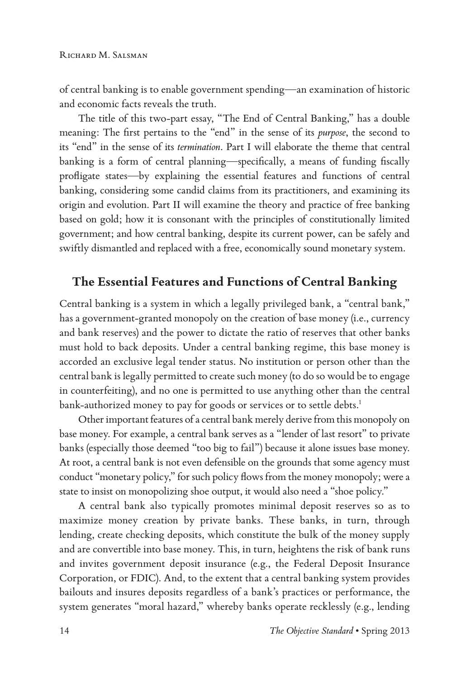of central banking is to enable government spending—an examination of historic and economic facts reveals the truth.

The title of this two-part essay, "The End of Central Banking," has a double meaning: The first pertains to the "end" in the sense of its *purpose*, the second to its "end" in the sense of its *termination*. Part I will elaborate the theme that central banking is a form of central planning—specifically, a means of funding fiscally profligate states—by explaining the essential features and functions of central banking, considering some candid claims from its practitioners, and examining its origin and evolution. Part II will examine the theory and practice of free banking based on gold; how it is consonant with the principles of constitutionally limited government; and how central banking, despite its current power, can be safely and swiftly dismantled and replaced with a free, economically sound monetary system.

### **The Essential Features and Functions of Central Banking**

Central banking is a system in which a legally privileged bank, a "central bank," has a government-granted monopoly on the creation of base money (i.e., currency and bank reserves) and the power to dictate the ratio of reserves that other banks must hold to back deposits. Under a central banking regime, this base money is accorded an exclusive legal tender status. No institution or person other than the central bank is legally permitted to create such money (to do so would be to engage in counterfeiting), and no one is permitted to use anything other than the central bank-authorized money to pay for goods or services or to settle debts.<sup>1</sup>

Other important features of a central bank merely derive from this monopoly on base money. For example, a central bank serves as a "lender of last resort" to private banks (especially those deemed "too big to fail") because it alone issues base money. At root, a central bank is not even defensible on the grounds that some agency must conduct "monetary policy," for such policy flows from the money monopoly; were a state to insist on monopolizing shoe output, it would also need a "shoe policy."

A central bank also typically promotes minimal deposit reserves so as to maximize money creation by private banks. These banks, in turn, through lending, create checking deposits, which constitute the bulk of the money supply and are convertible into base money. This, in turn, heightens the risk of bank runs and invites government deposit insurance (e.g., the Federal Deposit Insurance Corporation, or FDIC). And, to the extent that a central banking system provides bailouts and insures deposits regardless of a bank's practices or performance, the system generates "moral hazard," whereby banks operate recklessly (e.g., lending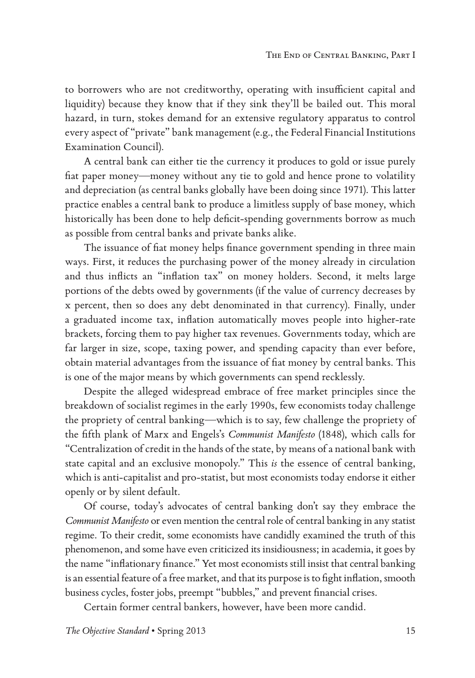to borrowers who are not creditworthy, operating with insufficient capital and liquidity) because they know that if they sink they'll be bailed out. This moral hazard, in turn, stokes demand for an extensive regulatory apparatus to control every aspect of "private" bank management (e.g., the Federal Financial Institutions Examination Council).

A central bank can either tie the currency it produces to gold or issue purely fiat paper money—money without any tie to gold and hence prone to volatility and depreciation (as central banks globally have been doing since 1971). This latter practice enables a central bank to produce a limitless supply of base money, which historically has been done to help deficit-spending governments borrow as much as possible from central banks and private banks alike.

The issuance of fiat money helps finance government spending in three main ways. First, it reduces the purchasing power of the money already in circulation and thus inflicts an "inflation tax" on money holders. Second, it melts large portions of the debts owed by governments (if the value of currency decreases by x percent, then so does any debt denominated in that currency). Finally, under a graduated income tax, inflation automatically moves people into higher-rate brackets, forcing them to pay higher tax revenues. Governments today, which are far larger in size, scope, taxing power, and spending capacity than ever before, obtain material advantages from the issuance of fiat money by central banks. This is one of the major means by which governments can spend recklessly.

Despite the alleged widespread embrace of free market principles since the breakdown of socialist regimes in the early 1990s, few economists today challenge the propriety of central banking—which is to say, few challenge the propriety of the fifth plank of Marx and Engels's *Communist Manifesto* (1848), which calls for "Centralization of credit in the hands of the state, by means of a national bank with state capital and an exclusive monopoly." This *is* the essence of central banking, which is anti-capitalist and pro-statist, but most economists today endorse it either openly or by silent default.

Of course, today's advocates of central banking don't say they embrace the *Communist Manifesto* or even mention the central role of central banking in any statist regime. To their credit, some economists have candidly examined the truth of this phenomenon, and some have even criticized its insidiousness; in academia, it goes by the name "inflationary finance." Yet most economists still insist that central banking is an essential feature of a free market, and that its purpose is to fight inflation, smooth business cycles, foster jobs, preempt "bubbles," and prevent financial crises.

Certain former central bankers, however, have been more candid.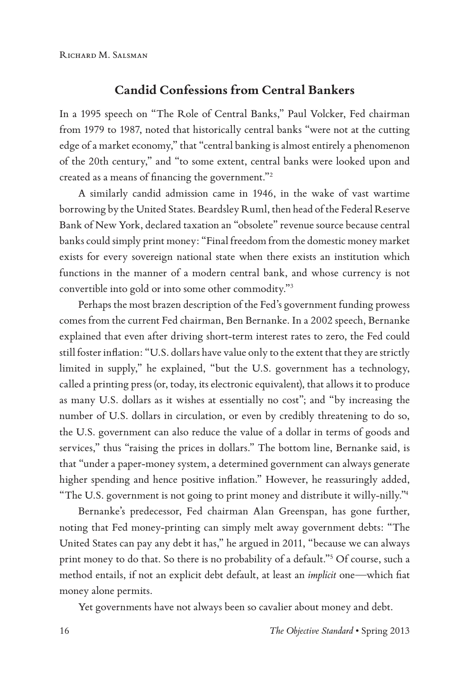#### **Candid Confessions from Central Bankers**

In a 1995 speech on "The Role of Central Banks," Paul Volcker, Fed chairman from 1979 to 1987, noted that historically central banks "were not at the cutting edge of a market economy," that "central banking is almost entirely a phenomenon of the 20th century," and "to some extent, central banks were looked upon and created as a means of financing the government."2

A similarly candid admission came in 1946, in the wake of vast wartime borrowing by the United States. Beardsley Ruml, then head of the Federal Reserve Bank of New York, declared taxation an "obsolete" revenue source because central banks could simply print money: "Final freedom from the domestic money market exists for every sovereign national state when there exists an institution which functions in the manner of a modern central bank, and whose currency is not convertible into gold or into some other commodity."3

Perhaps the most brazen description of the Fed's government funding prowess comes from the current Fed chairman, Ben Bernanke. In a 2002 speech, Bernanke explained that even after driving short-term interest rates to zero, the Fed could still foster inflation: "U.S. dollars have value only to the extent that they are strictly limited in supply," he explained, "but the U.S. government has a technology, called a printing press (or, today, its electronic equivalent), that allows it to produce as many U.S. dollars as it wishes at essentially no cost"; and "by increasing the number of U.S. dollars in circulation, or even by credibly threatening to do so, the U.S. government can also reduce the value of a dollar in terms of goods and services," thus "raising the prices in dollars." The bottom line, Bernanke said, is that "under a paper-money system, a determined government can always generate higher spending and hence positive inflation." However, he reassuringly added, "The U.S. government is not going to print money and distribute it willy-nilly."4

Bernanke's predecessor, Fed chairman Alan Greenspan, has gone further, noting that Fed money-printing can simply melt away government debts: "The United States can pay any debt it has," he argued in 2011, "because we can always print money to do that. So there is no probability of a default."5 Of course, such a method entails, if not an explicit debt default, at least an *implicit* one—which fiat money alone permits.

Yet governments have not always been so cavalier about money and debt.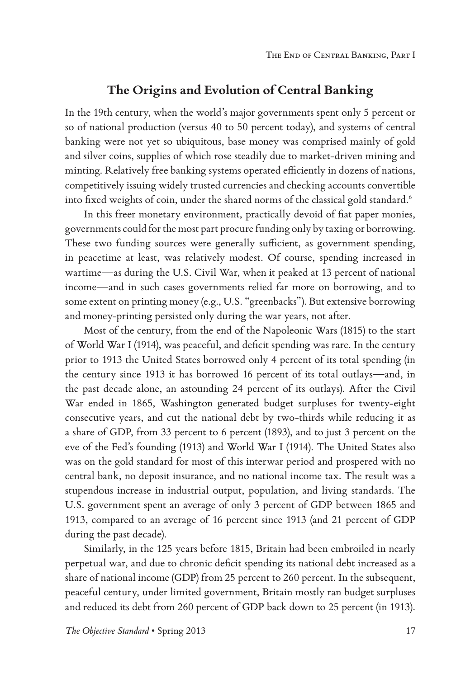#### **The Origins and Evolution of Central Banking**

In the 19th century, when the world's major governments spent only 5 percent or so of national production (versus 40 to 50 percent today), and systems of central banking were not yet so ubiquitous, base money was comprised mainly of gold and silver coins, supplies of which rose steadily due to market-driven mining and minting. Relatively free banking systems operated efficiently in dozens of nations, competitively issuing widely trusted currencies and checking accounts convertible into fixed weights of coin, under the shared norms of the classical gold standard.<sup>6</sup>

In this freer monetary environment, practically devoid of fiat paper monies, governments could for the most part procure funding only by taxing or borrowing. These two funding sources were generally sufficient, as government spending, in peacetime at least, was relatively modest. Of course, spending increased in wartime—as during the U.S. Civil War, when it peaked at 13 percent of national income—and in such cases governments relied far more on borrowing, and to some extent on printing money (e.g., U.S. "greenbacks"). But extensive borrowing and money-printing persisted only during the war years, not after.

Most of the century, from the end of the Napoleonic Wars (1815) to the start of World War I (1914), was peaceful, and deficit spending was rare. In the century prior to 1913 the United States borrowed only 4 percent of its total spending (in the century since 1913 it has borrowed 16 percent of its total outlays—and, in the past decade alone, an astounding 24 percent of its outlays). After the Civil War ended in 1865, Washington generated budget surpluses for twenty-eight consecutive years, and cut the national debt by two-thirds while reducing it as a share of GDP, from 33 percent to 6 percent (1893), and to just 3 percent on the eve of the Fed's founding (1913) and World War I (1914). The United States also was on the gold standard for most of this interwar period and prospered with no central bank, no deposit insurance, and no national income tax. The result was a stupendous increase in industrial output, population, and living standards. The U.S. government spent an average of only 3 percent of GDP between 1865 and 1913, compared to an average of 16 percent since 1913 (and 21 percent of GDP during the past decade).

Similarly, in the 125 years before 1815, Britain had been embroiled in nearly perpetual war, and due to chronic deficit spending its national debt increased as a share of national income (GDP) from 25 percent to 260 percent. In the subsequent, peaceful century, under limited government, Britain mostly ran budget surpluses and reduced its debt from 260 percent of GDP back down to 25 percent (in 1913).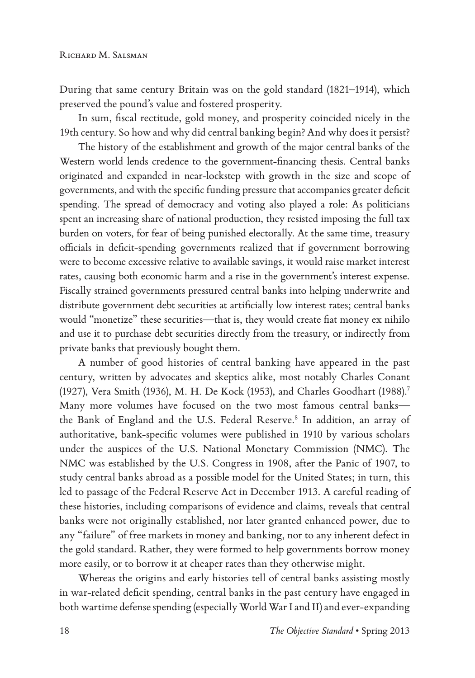During that same century Britain was on the gold standard (1821–1914), which preserved the pound's value and fostered prosperity.

In sum, fiscal rectitude, gold money, and prosperity coincided nicely in the 19th century. So how and why did central banking begin? And why does it persist?

The history of the establishment and growth of the major central banks of the Western world lends credence to the government-financing thesis. Central banks originated and expanded in near-lockstep with growth in the size and scope of governments, and with the specific funding pressure that accompanies greater deficit spending. The spread of democracy and voting also played a role: As politicians spent an increasing share of national production, they resisted imposing the full tax burden on voters, for fear of being punished electorally. At the same time, treasury officials in deficit-spending governments realized that if government borrowing were to become excessive relative to available savings, it would raise market interest rates, causing both economic harm and a rise in the government's interest expense. Fiscally strained governments pressured central banks into helping underwrite and distribute government debt securities at artificially low interest rates; central banks would "monetize" these securities—that is, they would create fiat money ex nihilo and use it to purchase debt securities directly from the treasury, or indirectly from private banks that previously bought them.

A number of good histories of central banking have appeared in the past century, written by advocates and skeptics alike, most notably Charles Conant (1927), Vera Smith (1936), M. H. De Kock (1953), and Charles Goodhart (1988).7 Many more volumes have focused on the two most famous central banks the Bank of England and the U.S. Federal Reserve.<sup>8</sup> In addition, an array of authoritative, bank-specific volumes were published in 1910 by various scholars under the auspices of the U.S. National Monetary Commission (NMC). The NMC was established by the U.S. Congress in 1908, after the Panic of 1907, to study central banks abroad as a possible model for the United States; in turn, this led to passage of the Federal Reserve Act in December 1913. A careful reading of these histories, including comparisons of evidence and claims, reveals that central banks were not originally established, nor later granted enhanced power, due to any "failure" of free markets in money and banking, nor to any inherent defect in the gold standard. Rather, they were formed to help governments borrow money more easily, or to borrow it at cheaper rates than they otherwise might.

Whereas the origins and early histories tell of central banks assisting mostly in war-related deficit spending, central banks in the past century have engaged in both wartime defense spending (especially World War I and II) and ever-expanding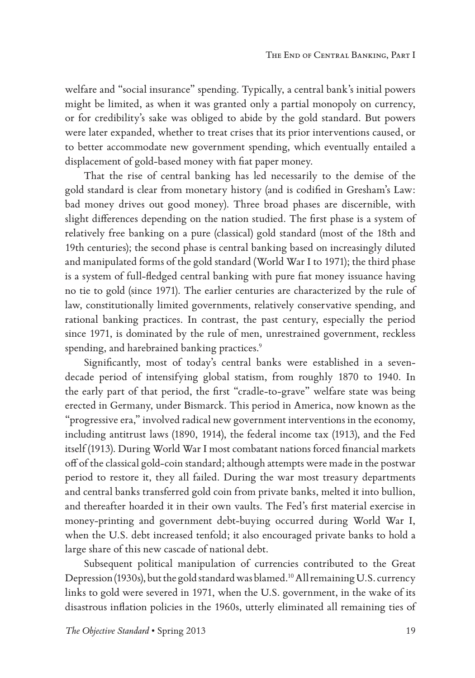welfare and "social insurance" spending. Typically, a central bank's initial powers might be limited, as when it was granted only a partial monopoly on currency, or for credibility's sake was obliged to abide by the gold standard. But powers were later expanded, whether to treat crises that its prior interventions caused, or to better accommodate new government spending, which eventually entailed a displacement of gold-based money with fiat paper money.

That the rise of central banking has led necessarily to the demise of the gold standard is clear from monetary history (and is codified in Gresham's Law: bad money drives out good money). Three broad phases are discernible, with slight differences depending on the nation studied. The first phase is a system of relatively free banking on a pure (classical) gold standard (most of the 18th and 19th centuries); the second phase is central banking based on increasingly diluted and manipulated forms of the gold standard (World War I to 1971); the third phase is a system of full-fledged central banking with pure fiat money issuance having no tie to gold (since 1971). The earlier centuries are characterized by the rule of law, constitutionally limited governments, relatively conservative spending, and rational banking practices. In contrast, the past century, especially the period since 1971, is dominated by the rule of men, unrestrained government, reckless spending, and harebrained banking practices.<sup>9</sup>

Significantly, most of today's central banks were established in a sevendecade period of intensifying global statism, from roughly 1870 to 1940. In the early part of that period, the first "cradle-to-grave" welfare state was being erected in Germany, under Bismarck. This period in America, now known as the "progressive era," involved radical new government interventions in the economy, including antitrust laws (1890, 1914), the federal income tax (1913), and the Fed itself (1913). During World War I most combatant nations forced financial markets off of the classical gold-coin standard; although attempts were made in the postwar period to restore it, they all failed. During the war most treasury departments and central banks transferred gold coin from private banks, melted it into bullion, and thereafter hoarded it in their own vaults. The Fed's first material exercise in money-printing and government debt-buying occurred during World War I, when the U.S. debt increased tenfold; it also encouraged private banks to hold a large share of this new cascade of national debt.

Subsequent political manipulation of currencies contributed to the Great Depression (1930s), but the gold standard was blamed.10 All remaining U.S. currency links to gold were severed in 1971, when the U.S. government, in the wake of its disastrous inflation policies in the 1960s, utterly eliminated all remaining ties of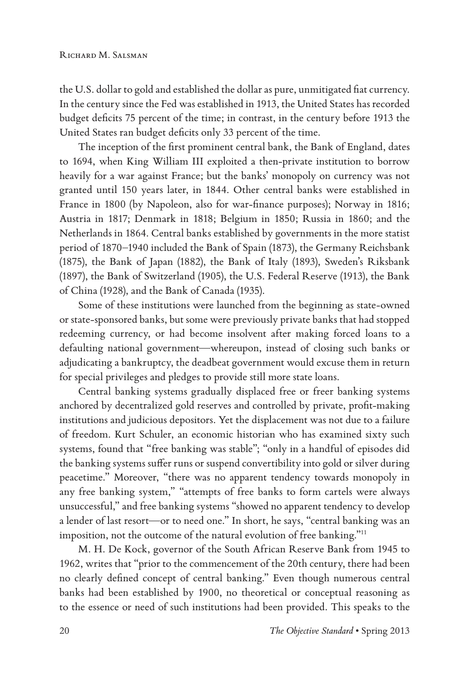the U.S. dollar to gold and established the dollar as pure, unmitigated fiat currency. In the century since the Fed was established in 1913, the United States has recorded budget deficits 75 percent of the time; in contrast, in the century before 1913 the United States ran budget deficits only 33 percent of the time.

The inception of the first prominent central bank, the Bank of England, dates to 1694, when King William III exploited a then-private institution to borrow heavily for a war against France; but the banks' monopoly on currency was not granted until 150 years later, in 1844. Other central banks were established in France in 1800 (by Napoleon, also for war-finance purposes); Norway in 1816; Austria in 1817; Denmark in 1818; Belgium in 1850; Russia in 1860; and the Netherlands in 1864. Central banks established by governments in the more statist period of 1870–1940 included the Bank of Spain (1873), the Germany Reichsbank (1875), the Bank of Japan (1882), the Bank of Italy (1893), Sweden's Riksbank (1897), the Bank of Switzerland (1905), the U.S. Federal Reserve (1913), the Bank of China (1928), and the Bank of Canada (1935).

Some of these institutions were launched from the beginning as state-owned or state-sponsored banks, but some were previously private banks that had stopped redeeming currency, or had become insolvent after making forced loans to a defaulting national government—whereupon, instead of closing such banks or adjudicating a bankruptcy, the deadbeat government would excuse them in return for special privileges and pledges to provide still more state loans.

Central banking systems gradually displaced free or freer banking systems anchored by decentralized gold reserves and controlled by private, profit-making institutions and judicious depositors. Yet the displacement was not due to a failure of freedom. Kurt Schuler, an economic historian who has examined sixty such systems, found that "free banking was stable"; "only in a handful of episodes did the banking systems suffer runs or suspend convertibility into gold or silver during peacetime." Moreover, "there was no apparent tendency towards monopoly in any free banking system," "attempts of free banks to form cartels were always unsuccessful," and free banking systems "showed no apparent tendency to develop a lender of last resort—or to need one." In short, he says, "central banking was an imposition, not the outcome of the natural evolution of free banking."11

M. H. De Kock, governor of the South African Reserve Bank from 1945 to 1962, writes that "prior to the commencement of the 20th century, there had been no clearly defined concept of central banking." Even though numerous central banks had been established by 1900, no theoretical or conceptual reasoning as to the essence or need of such institutions had been provided. This speaks to the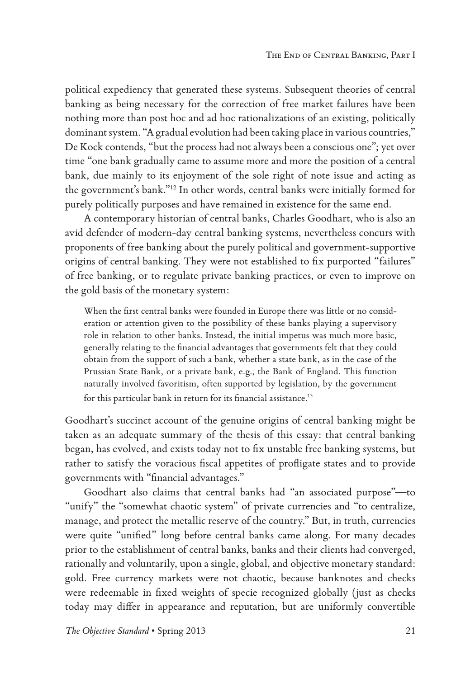political expediency that generated these systems. Subsequent theories of central banking as being necessary for the correction of free market failures have been nothing more than post hoc and ad hoc rationalizations of an existing, politically dominant system. "A gradual evolution had been taking place in various countries," De Kock contends, "but the process had not always been a conscious one"; yet over time "one bank gradually came to assume more and more the position of a central bank, due mainly to its enjoyment of the sole right of note issue and acting as the government's bank."12 In other words, central banks were initially formed for purely politically purposes and have remained in existence for the same end.

A contemporary historian of central banks, Charles Goodhart, who is also an avid defender of modern-day central banking systems, nevertheless concurs with proponents of free banking about the purely political and government-supportive origins of central banking. They were not established to fix purported "failures" of free banking, or to regulate private banking practices, or even to improve on the gold basis of the monetary system:

When the first central banks were founded in Europe there was little or no consideration or attention given to the possibility of these banks playing a supervisory role in relation to other banks. Instead, the initial impetus was much more basic, generally relating to the financial advantages that governments felt that they could obtain from the support of such a bank, whether a state bank, as in the case of the Prussian State Bank, or a private bank, e.g., the Bank of England. This function naturally involved favoritism, often supported by legislation, by the government for this particular bank in return for its financial assistance.<sup>13</sup>

Goodhart's succinct account of the genuine origins of central banking might be taken as an adequate summary of the thesis of this essay: that central banking began, has evolved, and exists today not to fix unstable free banking systems, but rather to satisfy the voracious fiscal appetites of profligate states and to provide governments with "financial advantages."

Goodhart also claims that central banks had "an associated purpose"—to "unify" the "somewhat chaotic system" of private currencies and "to centralize, manage, and protect the metallic reserve of the country." But, in truth, currencies were quite "unified" long before central banks came along. For many decades prior to the establishment of central banks, banks and their clients had converged, rationally and voluntarily, upon a single, global, and objective monetary standard: gold. Free currency markets were not chaotic, because banknotes and checks were redeemable in fixed weights of specie recognized globally (just as checks today may differ in appearance and reputation, but are uniformly convertible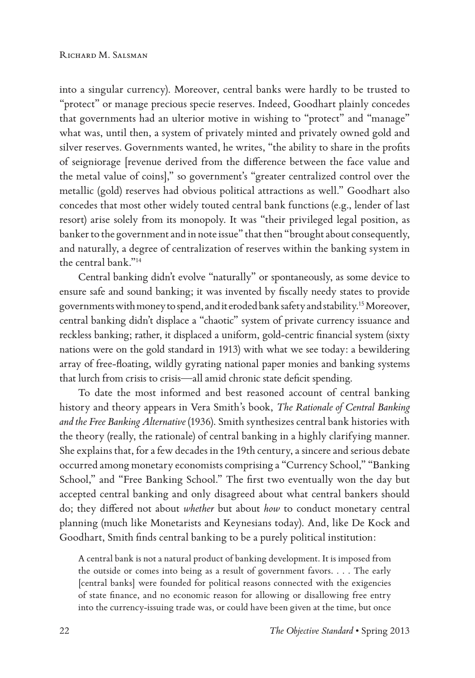into a singular currency). Moreover, central banks were hardly to be trusted to "protect" or manage precious specie reserves. Indeed, Goodhart plainly concedes that governments had an ulterior motive in wishing to "protect" and "manage" what was, until then, a system of privately minted and privately owned gold and silver reserves. Governments wanted, he writes, "the ability to share in the profits of seigniorage [revenue derived from the difference between the face value and the metal value of coins]," so government's "greater centralized control over the metallic (gold) reserves had obvious political attractions as well." Goodhart also concedes that most other widely touted central bank functions (e.g., lender of last resort) arise solely from its monopoly. It was "their privileged legal position, as banker to the government and in note issue" that then "brought about consequently, and naturally, a degree of centralization of reserves within the banking system in the central bank."14

Central banking didn't evolve "naturally" or spontaneously, as some device to ensure safe and sound banking; it was invented by fiscally needy states to provide governments with money to spend, and it eroded bank safety and stability.15 Moreover, central banking didn't displace a "chaotic" system of private currency issuance and reckless banking; rather, it displaced a uniform, gold-centric financial system (sixty nations were on the gold standard in 1913) with what we see today: a bewildering array of free-floating, wildly gyrating national paper monies and banking systems that lurch from crisis to crisis—all amid chronic state deficit spending.

To date the most informed and best reasoned account of central banking history and theory appears in Vera Smith's book, *The Rationale of Central Banking and the Free Banking Alternative* (1936). Smith synthesizes central bank histories with the theory (really, the rationale) of central banking in a highly clarifying manner. She explains that, for a few decades in the 19th century, a sincere and serious debate occurred among monetary economists comprising a "Currency School," "Banking School," and "Free Banking School." The first two eventually won the day but accepted central banking and only disagreed about what central bankers should do; they differed not about *whether* but about *how* to conduct monetary central planning (much like Monetarists and Keynesians today). And, like De Kock and Goodhart, Smith finds central banking to be a purely political institution:

A central bank is not a natural product of banking development. It is imposed from the outside or comes into being as a result of government favors. . . . The early [central banks] were founded for political reasons connected with the exigencies of state finance, and no economic reason for allowing or disallowing free entry into the currency-issuing trade was, or could have been given at the time, but once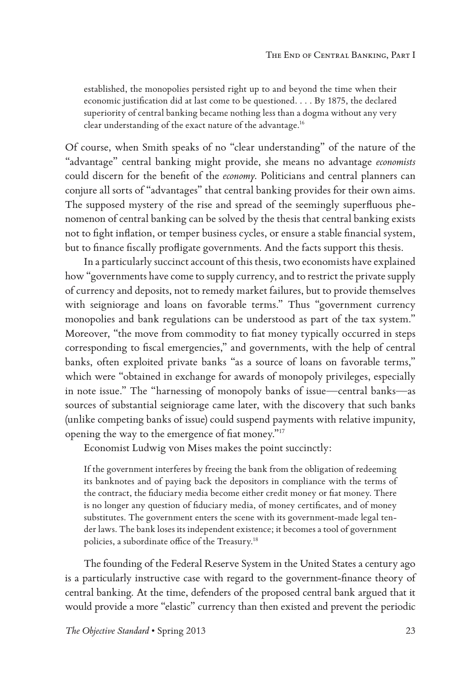established, the monopolies persisted right up to and beyond the time when their economic justification did at last come to be questioned. . . . By 1875, the declared superiority of central banking became nothing less than a dogma without any very clear understanding of the exact nature of the advantage.16

Of course, when Smith speaks of no "clear understanding" of the nature of the "advantage" central banking might provide, she means no advantage *economists* could discern for the benefit of the *economy*. Politicians and central planners can conjure all sorts of "advantages" that central banking provides for their own aims. The supposed mystery of the rise and spread of the seemingly superfluous phenomenon of central banking can be solved by the thesis that central banking exists not to fight inflation, or temper business cycles, or ensure a stable financial system, but to finance fiscally profligate governments. And the facts support this thesis.

In a particularly succinct account of this thesis, two economists have explained how "governments have come to supply currency, and to restrict the private supply of currency and deposits, not to remedy market failures, but to provide themselves with seigniorage and loans on favorable terms." Thus "government currency monopolies and bank regulations can be understood as part of the tax system." Moreover, "the move from commodity to fiat money typically occurred in steps corresponding to fiscal emergencies," and governments, with the help of central banks, often exploited private banks "as a source of loans on favorable terms," which were "obtained in exchange for awards of monopoly privileges, especially in note issue." The "harnessing of monopoly banks of issue—central banks—as sources of substantial seigniorage came later, with the discovery that such banks (unlike competing banks of issue) could suspend payments with relative impunity, opening the way to the emergence of fiat money."17

Economist Ludwig von Mises makes the point succinctly:

If the government interferes by freeing the bank from the obligation of redeeming its banknotes and of paying back the depositors in compliance with the terms of the contract, the fiduciary media become either credit money or fiat money. There is no longer any question of fiduciary media, of money certificates, and of money substitutes. The government enters the scene with its government-made legal tender laws. The bank loses its independent existence; it becomes a tool of government policies, a subordinate office of the Treasury.18

The founding of the Federal Reserve System in the United States a century ago is a particularly instructive case with regard to the government-finance theory of central banking. At the time, defenders of the proposed central bank argued that it would provide a more "elastic" currency than then existed and prevent the periodic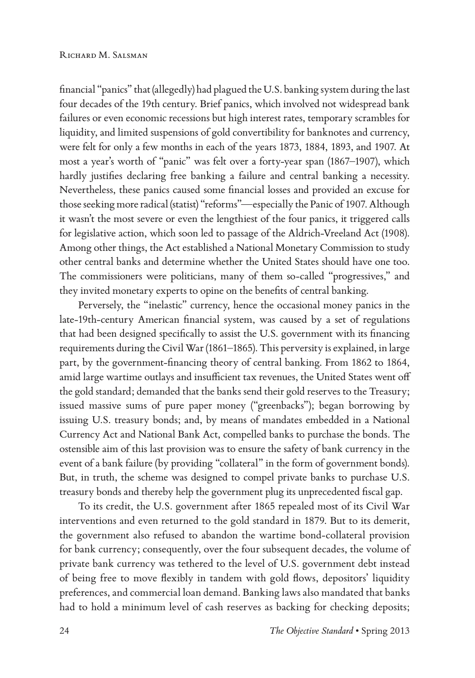financial "panics" that (allegedly) had plagued the U.S. banking system during the last four decades of the 19th century. Brief panics, which involved not widespread bank failures or even economic recessions but high interest rates, temporary scrambles for liquidity, and limited suspensions of gold convertibility for banknotes and currency, were felt for only a few months in each of the years 1873, 1884, 1893, and 1907. At most a year's worth of "panic" was felt over a forty-year span (1867–1907), which hardly justifies declaring free banking a failure and central banking a necessity. Nevertheless, these panics caused some financial losses and provided an excuse for those seeking more radical (statist) "reforms"—especially the Panic of 1907. Although it wasn't the most severe or even the lengthiest of the four panics, it triggered calls for legislative action, which soon led to passage of the Aldrich-Vreeland Act (1908). Among other things, the Act established a National Monetary Commission to study other central banks and determine whether the United States should have one too. The commissioners were politicians, many of them so-called "progressives," and they invited monetary experts to opine on the benefits of central banking.

Perversely, the "inelastic" currency, hence the occasional money panics in the late-19th-century American financial system, was caused by a set of regulations that had been designed specifically to assist the U.S. government with its financing requirements during the Civil War (1861–1865). This perversity is explained, in large part, by the government-financing theory of central banking. From 1862 to 1864, amid large wartime outlays and insufficient tax revenues, the United States went off the gold standard; demanded that the banks send their gold reserves to the Treasury; issued massive sums of pure paper money ("greenbacks"); began borrowing by issuing U.S. treasury bonds; and, by means of mandates embedded in a National Currency Act and National Bank Act, compelled banks to purchase the bonds. The ostensible aim of this last provision was to ensure the safety of bank currency in the event of a bank failure (by providing "collateral" in the form of government bonds). But, in truth, the scheme was designed to compel private banks to purchase U.S. treasury bonds and thereby help the government plug its unprecedented fiscal gap.

To its credit, the U.S. government after 1865 repealed most of its Civil War interventions and even returned to the gold standard in 1879. But to its demerit, the government also refused to abandon the wartime bond-collateral provision for bank currency; consequently, over the four subsequent decades, the volume of private bank currency was tethered to the level of U.S. government debt instead of being free to move flexibly in tandem with gold flows, depositors' liquidity preferences, and commercial loan demand. Banking laws also mandated that banks had to hold a minimum level of cash reserves as backing for checking deposits;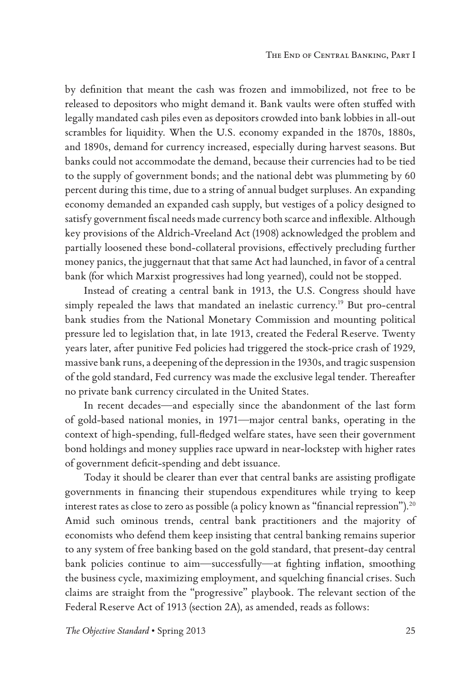by definition that meant the cash was frozen and immobilized, not free to be released to depositors who might demand it. Bank vaults were often stuffed with legally mandated cash piles even as depositors crowded into bank lobbies in all-out scrambles for liquidity. When the U.S. economy expanded in the 1870s, 1880s, and 1890s, demand for currency increased, especially during harvest seasons. But banks could not accommodate the demand, because their currencies had to be tied to the supply of government bonds; and the national debt was plummeting by 60 percent during this time, due to a string of annual budget surpluses. An expanding economy demanded an expanded cash supply, but vestiges of a policy designed to satisfy government fiscal needs made currency both scarce and inflexible. Although key provisions of the Aldrich-Vreeland Act (1908) acknowledged the problem and partially loosened these bond-collateral provisions, effectively precluding further money panics, the juggernaut that that same Act had launched, in favor of a central bank (for which Marxist progressives had long yearned), could not be stopped.

Instead of creating a central bank in 1913, the U.S. Congress should have simply repealed the laws that mandated an inelastic currency.19 But pro-central bank studies from the National Monetary Commission and mounting political pressure led to legislation that, in late 1913, created the Federal Reserve. Twenty years later, after punitive Fed policies had triggered the stock-price crash of 1929, massive bank runs, a deepening of the depression in the 1930s, and tragic suspension of the gold standard, Fed currency was made the exclusive legal tender. Thereafter no private bank currency circulated in the United States.

In recent decades—and especially since the abandonment of the last form of gold-based national monies, in 1971—major central banks, operating in the context of high-spending, full-fledged welfare states, have seen their government bond holdings and money supplies race upward in near-lockstep with higher rates of government deficit-spending and debt issuance.

Today it should be clearer than ever that central banks are assisting profligate governments in financing their stupendous expenditures while trying to keep interest rates as close to zero as possible (a policy known as "financial repression").<sup>20</sup> Amid such ominous trends, central bank practitioners and the majority of economists who defend them keep insisting that central banking remains superior to any system of free banking based on the gold standard, that present-day central bank policies continue to aim—successfully—at fighting inflation, smoothing the business cycle, maximizing employment, and squelching financial crises. Such claims are straight from the "progressive" playbook. The relevant section of the Federal Reserve Act of 1913 (section 2A), as amended, reads as follows: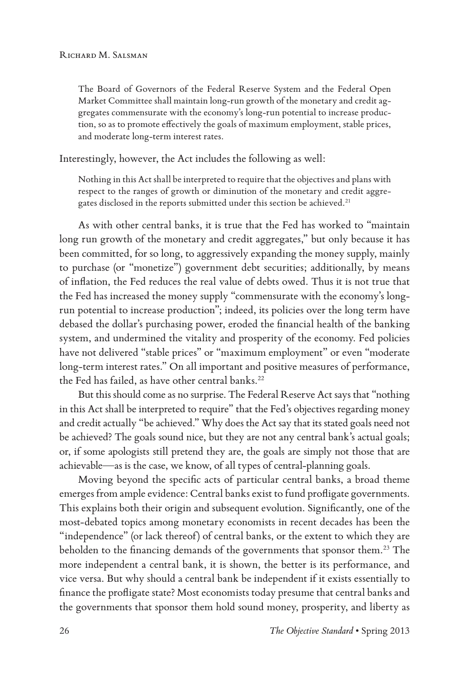The Board of Governors of the Federal Reserve System and the Federal Open Market Committee shall maintain long-run growth of the monetary and credit aggregates commensurate with the economy's long-run potential to increase production, so as to promote effectively the goals of maximum employment, stable prices, and moderate long-term interest rates.

Interestingly, however, the Act includes the following as well:

Nothing in this Act shall be interpreted to require that the objectives and plans with respect to the ranges of growth or diminution of the monetary and credit aggregates disclosed in the reports submitted under this section be achieved.<sup>21</sup>

As with other central banks, it is true that the Fed has worked to "maintain long run growth of the monetary and credit aggregates," but only because it has been committed, for so long, to aggressively expanding the money supply, mainly to purchase (or "monetize") government debt securities; additionally, by means of inflation, the Fed reduces the real value of debts owed. Thus it is not true that the Fed has increased the money supply "commensurate with the economy's longrun potential to increase production"; indeed, its policies over the long term have debased the dollar's purchasing power, eroded the financial health of the banking system, and undermined the vitality and prosperity of the economy. Fed policies have not delivered "stable prices" or "maximum employment" or even "moderate long-term interest rates." On all important and positive measures of performance, the Fed has failed, as have other central banks.<sup>22</sup>

But this should come as no surprise. The Federal Reserve Act says that "nothing in this Act shall be interpreted to require" that the Fed's objectives regarding money and credit actually "be achieved." Why does the Act say that its stated goals need not be achieved? The goals sound nice, but they are not any central bank's actual goals; or, if some apologists still pretend they are, the goals are simply not those that are achievable—as is the case, we know, of all types of central-planning goals.

Moving beyond the specific acts of particular central banks, a broad theme emerges from ample evidence: Central banks exist to fund profligate governments. This explains both their origin and subsequent evolution. Significantly, one of the most-debated topics among monetary economists in recent decades has been the "independence" (or lack thereof) of central banks, or the extent to which they are beholden to the financing demands of the governments that sponsor them.<sup>23</sup> The more independent a central bank, it is shown, the better is its performance, and vice versa. But why should a central bank be independent if it exists essentially to finance the profligate state? Most economists today presume that central banks and the governments that sponsor them hold sound money, prosperity, and liberty as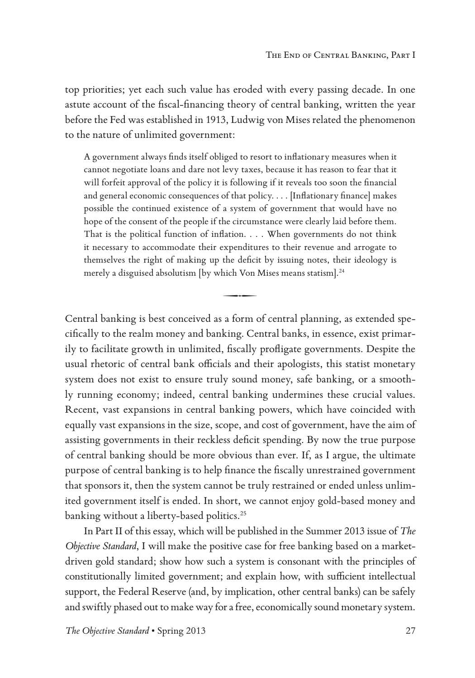top priorities; yet each such value has eroded with every passing decade. In one astute account of the fiscal-financing theory of central banking, written the year before the Fed was established in 1913, Ludwig von Mises related the phenomenon to the nature of unlimited government:

A government always finds itself obliged to resort to inflationary measures when it cannot negotiate loans and dare not levy taxes, because it has reason to fear that it will forfeit approval of the policy it is following if it reveals too soon the financial and general economic consequences of that policy. . . . [Inflationary finance] makes possible the continued existence of a system of government that would have no hope of the consent of the people if the circumstance were clearly laid before them. That is the political function of inflation. . . . When governments do not think it necessary to accommodate their expenditures to their revenue and arrogate to themselves the right of making up the deficit by issuing notes, their ideology is merely a disguised absolutism [by which Von Mises means statism].<sup>24</sup><br> $\longrightarrow$ 

Central banking is best conceived as a form of central planning, as extended spe cifically to the realm money and banking. Central banks, in essence, exist primarily to facilitate growth in unlimited, fiscally profligate governments. Despite the usual rhetoric of central bank officials and their apologists, this statist monetary system does not exist to ensure truly sound money, safe banking, or a smoothly running economy; indeed, central banking undermines these crucial values. Recent, vast expansions in central banking powers, which have coincided with equally vast expansions in the size, scope, and cost of government, have the aim of assisting governments in their reckless deficit spending. By now the true purpose of central banking should be more obvious than ever. If, as I argue, the ultimate purpose of central banking is to help finance the fiscally unrestrained government that sponsors it, then the system cannot be truly restrained or ended unless unlimited government itself is ended. In short, we cannot enjoy gold-based money and banking without a liberty-based politics.<sup>25</sup>

In Part II of this essay, which will be published in the Summer 2013 issue of *The Objective Standard*, I will make the positive case for free banking based on a marketdriven gold standard; show how such a system is consonant with the principles of constitutionally limited government; and explain how, with sufficient intellectual support, the Federal Reserve (and, by implication, other central banks) can be safely and swiftly phased out to make way for a free, economically sound monetary system.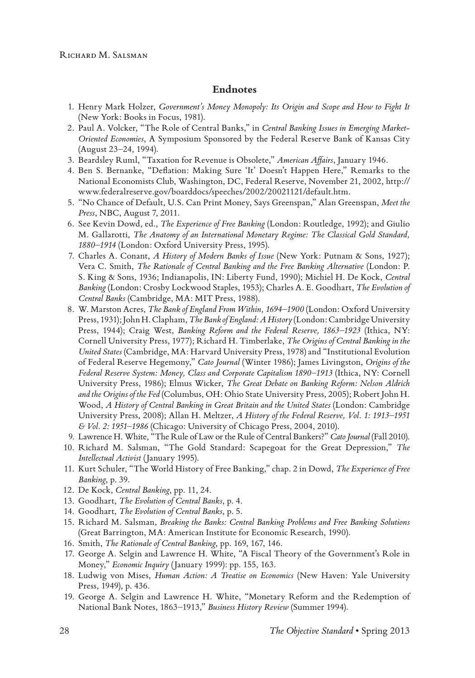#### **Endnotes**

- 1. Henry Mark Holzer, *Government's Money Monopoly: Its Origin and Scope and How to Fight It* (New York: Books in Focus, 1981).
- 2. Paul A. Volcker, "The Role of Central Banks," in *Central Banking Issues in Emerging Market-Oriented Economies*, A Symposium Sponsored by the Federal Reserve Bank of Kansas City (August 23–24, 1994).
- 3. Beardsley Ruml, "Taxation for Revenue is Obsolete," *American Affairs*, January 1946.
- 4. Ben S. Bernanke, "Deflation: Making Sure 'It' Doesn't Happen Here," Remarks to the National Economists Club, Washington, DC, Federal Reserve, November 21, 2002, http:// www.federalreserve.gov/boarddocs/speeches/2002/20021121/default.htm.
- 5. "No Chance of Default, U.S. Can Print Money, Says Greenspan," Alan Greenspan, *Meet the Press*, NBC, August 7, 2011.
- 6. See Kevin Dowd, ed., *The Experience of Free Banking* (London: Routledge, 1992); and Giulio M. Gallarotti, *The Anatomy of an International Monetary Regime: The Classical Gold Standard, 1880–1914* (London: Oxford University Press, 1995).
- 7. Charles A. Conant, *A History of Modern Banks of Issue* (New York: Putnam & Sons, 1927); Vera C. Smith, *The Rationale of Central Banking and the Free Banking Alternative* (London: P. S. King & Sons, 1936; Indianapolis, IN: Liberty Fund, 1990); Michiel H. De Kock, *Central Banking* (London: Crosby Lockwood Staples, 1953); Charles A. E. Goodhart, *The Evolution of Central Banks* (Cambridge, MA: MIT Press, 1988).
- 8. W. Marston Acres, *The Bank of England From Within, 1694–1900* (London: Oxford University Press, 1931); John H. Clapham, *The Bank of England: A History* (London: Cambridge University Press, 1944); Craig West, *Banking Reform and the Federal Reserve, 1863–1923* (Ithica, NY: Cornell University Press, 1977); Richard H. Timberlake, *The Origins of Central Banking in the United States* (Cambridge, MA: Harvard University Press, 1978) and "Institutional Evolution of Federal Reserve Hegemony," *Cato Journal* (Winter 1986); James Livingston, *Origins of the Federal Reserve System: Money, Class and Corporate Capitalism 1890–1913* (Ithica, NY: Cornell University Press, 1986); Elmus Wicker, *The Great Debate on Banking Reform: Nelson Aldrich and the Origins of the Fed* (Columbus, OH: Ohio State University Press, 2005); Robert John H. Wood, *A History of Central Banking in Great Britain and the United States* (London: Cambridge University Press, 2008); Allan H. Meltzer, *A History of the Federal Reserve, Vol. 1: 1913–1951 & Vol. 2: 1951–1986* (Chicago: University of Chicago Press, 2004, 2010).
- 9. Lawrence H. White, "The Rule of Law or the Rule of Central Bankers?" *Cato Journal* (Fall 2010).
- 10. Richard M. Salsman, "The Gold Standard: Scapegoat for the Great Depression," *The Intellectual Activist* (January 1995).
- 11. Kurt Schuler, "The World History of Free Banking," chap. 2 in Dowd, *The Experience of Free Banking*, p. 39.
- 12. De Kock, *Central Banking*, pp. 11, 24.
- 13. Goodhart, *The Evolution of Central Banks*, p. 4.
- 14. Goodhart, *The Evolution of Central Banks*, p. 5.
- 15. Richard M. Salsman, *Breaking the Banks: Central Banking Problems and Free Banking Solutions* (Great Barrington, MA: American Institute for Economic Research, 1990).
- 16. Smith, *The Rationale of Central Banking*, pp. 169, 167, 146.
- 17. George A. Selgin and Lawrence H. White, "A Fiscal Theory of the Government's Role in Money," *Economic Inquiry* (January 1999): pp. 155, 163.
- 18. Ludwig von Mises, *Human Action: A Treatise on Economics* (New Haven: Yale University Press, 1949), p. 436.
- 19. George A. Selgin and Lawrence H. White, "Monetary Reform and the Redemption of National Bank Notes, 1863–1913," *Business History Review* (Summer 1994).